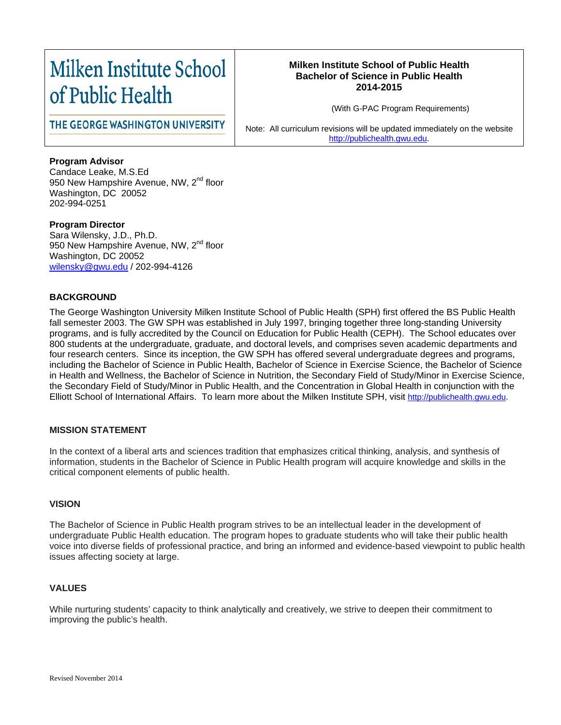# Milken Institute School of Public Health

## **Milken Institute School of Public Health Bachelor of Science in Public Health 2014-2015**

(With G-PAC Program Requirements)

THE GEORGE WASHINGTON UNIVERSITY

Note: All curriculum revisions will be updated immediately on the website [http://publichealth.gwu.edu.](http://publichealth.gwu.edu/)

# **Program Advisor**

Candace Leake, M.S.Ed 950 New Hampshire Avenue, NW, 2<sup>nd</sup> floor Washington, DC 20052 202-994-0251

**Program Director** Sara Wilensky, J.D., Ph.D. 950 New Hampshire Avenue, NW, 2<sup>nd</sup> floor Washington, DC 20052 [wilensky@gwu.edu](mailto:wilensky@gwu.edu) / 202-994-4126

# **BACKGROUND**

The George Washington University Milken Institute School of Public Health (SPH) first offered the BS Public Health fall semester 2003. The GW SPH was established in July 1997, bringing together three long-standing University programs, and is fully accredited by the Council on Education for Public Health (CEPH). The School educates over 800 students at the undergraduate, graduate, and doctoral levels, and comprises seven academic departments and four research centers. Since its inception, the GW SPH has offered several undergraduate degrees and programs, including the Bachelor of Science in Public Health, Bachelor of Science in Exercise Science, the Bachelor of Science in Health and Wellness, the Bachelor of Science in Nutrition, the Secondary Field of Study/Minor in Exercise Science, the Secondary Field of Study/Minor in Public Health, and the Concentration in Global Health in conjunction with the Elliott School of International Affairs. To learn more about the Milken Institute SPH, visit [http://publichealth.gwu.edu.](http://publichealth.gwu.edu/)

# **MISSION STATEMENT**

In the context of a liberal arts and sciences tradition that emphasizes critical thinking, analysis, and synthesis of information, students in the Bachelor of Science in Public Health program will acquire knowledge and skills in the critical component elements of public health.

# **VISION**

The Bachelor of Science in Public Health program strives to be an intellectual leader in the development of undergraduate Public Health education. The program hopes to graduate students who will take their public health voice into diverse fields of professional practice, and bring an informed and evidence-based viewpoint to public health issues affecting society at large.

# **VALUES**

While nurturing students' capacity to think analytically and creatively, we strive to deepen their commitment to improving the public's health.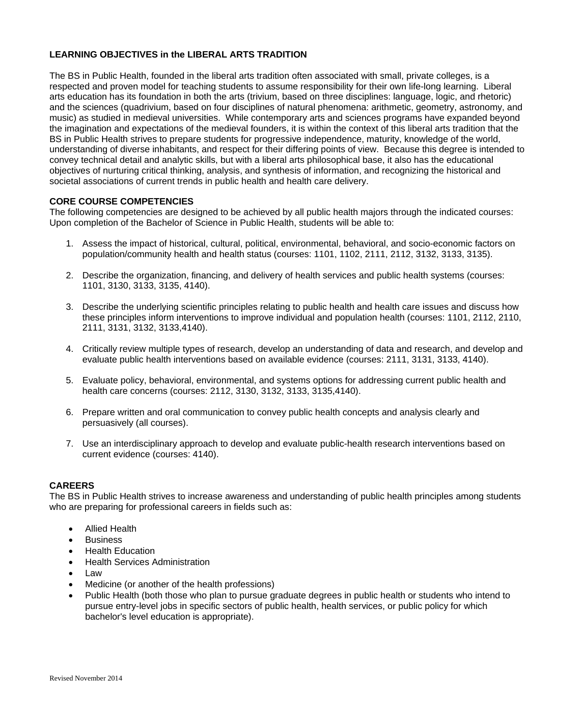## **LEARNING OBJECTIVES in the LIBERAL ARTS TRADITION**

The BS in Public Health, founded in the liberal arts tradition often associated with small, private colleges, is a respected and proven model for teaching students to assume responsibility for their own life-long learning. Liberal arts education has its foundation in both the arts (trivium, based on three disciplines: language, logic, and rhetoric) and the sciences (quadrivium, based on four disciplines of natural phenomena: arithmetic, geometry, astronomy, and music) as studied in medieval universities. While contemporary arts and sciences programs have expanded beyond the imagination and expectations of the medieval founders, it is within the context of this liberal arts tradition that the BS in Public Health strives to prepare students for progressive independence, maturity, knowledge of the world, understanding of diverse inhabitants, and respect for their differing points of view. Because this degree is intended to convey technical detail and analytic skills, but with a liberal arts philosophical base, it also has the educational objectives of nurturing critical thinking, analysis, and synthesis of information, and recognizing the historical and societal associations of current trends in public health and health care delivery.

## **CORE COURSE COMPETENCIES**

The following competencies are designed to be achieved by all public health majors through the indicated courses: Upon completion of the Bachelor of Science in Public Health, students will be able to:

- 1. Assess the impact of historical, cultural, political, environmental, behavioral, and socio-economic factors on population/community health and health status (courses: 1101, 1102, 2111, 2112, 3132, 3133, 3135).
- 2. Describe the organization, financing, and delivery of health services and public health systems (courses: 1101, 3130, 3133, 3135, 4140).
- 3. Describe the underlying scientific principles relating to public health and health care issues and discuss how these principles inform interventions to improve individual and population health (courses: 1101, 2112, 2110, 2111, 3131, 3132, 3133,4140).
- 4. Critically review multiple types of research, develop an understanding of data and research, and develop and evaluate public health interventions based on available evidence (courses: 2111, 3131, 3133, 4140).
- 5. Evaluate policy, behavioral, environmental, and systems options for addressing current public health and health care concerns (courses: 2112, 3130, 3132, 3133, 3135,4140).
- 6. Prepare written and oral communication to convey public health concepts and analysis clearly and persuasively (all courses).
- 7. Use an interdisciplinary approach to develop and evaluate public-health research interventions based on current evidence (courses: 4140).

#### **CAREERS**

The BS in Public Health strives to increase awareness and understanding of public health principles among students who are preparing for professional careers in fields such as:

- Allied Health
- **Business**
- Health Education
- Health Services Administration
- Law
- Medicine (or another of the health professions)
- Public Health (both those who plan to pursue graduate degrees in public health or students who intend to pursue entry-level jobs in specific sectors of public health, health services, or public policy for which bachelor's level education is appropriate).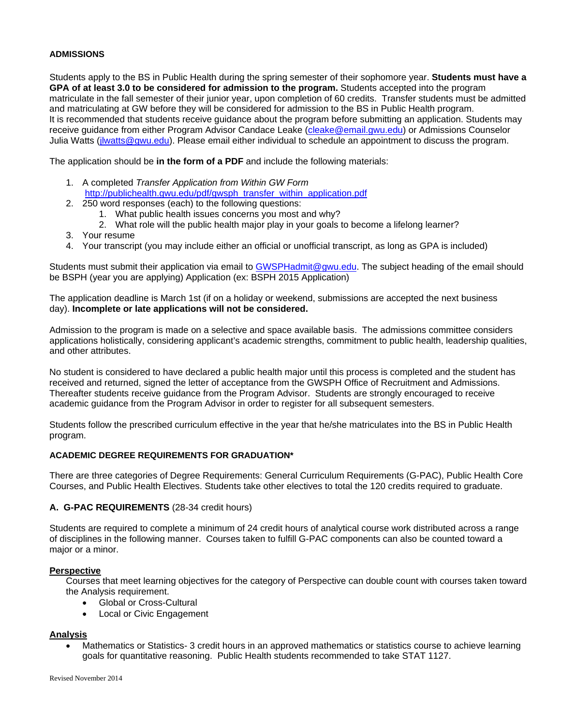## **ADMISSIONS**

Students apply to the BS in Public Health during the spring semester of their sophomore year. **Students must have a GPA of at least 3.0 to be considered for admission to the program.** Students accepted into the program matriculate in the fall semester of their junior year, upon completion of 60 credits. Transfer students must be admitted and matriculating at GW before they will be considered for admission to the BS in Public Health program. It is recommended that students receive guidance about the program before submitting an application. Students may receive guidance from either Program Advisor Candace Leake [\(cleake@email.gwu.edu\)](mailto:cleake@email.gwu.edu) or Admissions Counselor Julia Watts [\(jlwatts@gwu.edu\)](mailto:jlwatts@gwu.edu). Please email either individual to schedule an appointment to discuss the program.

The application should be **in the form of a PDF** and include the following materials:

- 1. A completed *Transfer Application from Within GW Form* [http://publichealth.gwu.edu/pdf/gwsph\\_transfer\\_within\\_application.pdf](http://publichealth.gwu.edu/pdf/gwsph_transfer_within_application.pdf)
- 2. 250 word responses (each) to the following questions:
	- 1. What public health issues concerns you most and why?
	- 2. What role will the public health major play in your goals to become a lifelong learner?
- 3. Your resume
- 4. Your transcript (you may include either an official or unofficial transcript, as long as GPA is included)

Students must submit their application via email to [GWSPHadmit@gwu.edu.](mailto:GWSPHadmit@gwu.edu) The subject heading of the email should be BSPH (year you are applying) Application (ex: BSPH 2015 Application)

The application deadline is March 1st (if on a holiday or weekend, submissions are accepted the next business day). **Incomplete or late applications will not be considered.**

Admission to the program is made on a selective and space available basis. The admissions committee considers applications holistically, considering applicant's academic strengths, commitment to public health, leadership qualities, and other attributes.

No student is considered to have declared a public health major until this process is completed and the student has received and returned, signed the letter of acceptance from the GWSPH Office of Recruitment and Admissions. Thereafter students receive guidance from the Program Advisor. Students are strongly encouraged to receive academic guidance from the Program Advisor in order to register for all subsequent semesters.

Students follow the prescribed curriculum effective in the year that he/she matriculates into the BS in Public Health program.

#### **ACADEMIC DEGREE REQUIREMENTS FOR GRADUATION\***

There are three categories of Degree Requirements: General Curriculum Requirements (G-PAC), Public Health Core Courses, and Public Health Electives. Students take other electives to total the 120 credits required to graduate.

#### **A. G-PAC REQUIREMENTS** (28-34 credit hours)

Students are required to complete a minimum of 24 credit hours of analytical course work distributed across a range of disciplines in the following manner. Courses taken to fulfill G-PAC components can also be counted toward a major or a minor.

#### **Perspective**

Courses that meet learning objectives for the category of Perspective can double count with courses taken toward the Analysis requirement.

- Global or Cross-Cultural
- Local or Civic Engagement

#### **Analysis**

• Mathematics or Statistics- 3 credit hours in an approved mathematics or statistics course to achieve learning goals for quantitative reasoning. Public Health students recommended to take STAT 1127.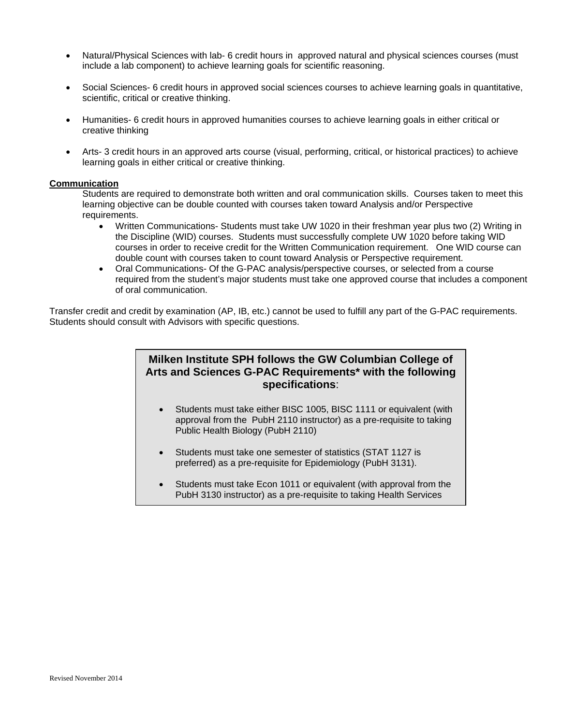- Natural/Physical Sciences with lab- 6 credit hours in approved natural and physical sciences courses (must include a lab component) to achieve learning goals for scientific reasoning.
- Social Sciences- 6 credit hours in approved social sciences courses to achieve learning goals in quantitative, scientific, critical or creative thinking.
- Humanities- 6 credit hours in approved humanities courses to achieve learning goals in either critical or creative thinking
- Arts- 3 credit hours in an approved arts course (visual, performing, critical, or historical practices) to achieve learning goals in either critical or creative thinking.

#### **Communication**

Students are required to demonstrate both written and oral communication skills. Courses taken to meet this learning objective can be double counted with courses taken toward Analysis and/or Perspective requirements.

- Written Communications- Students must take UW 1020 in their freshman year plus two (2) Writing in the Discipline (WID) courses. Students must successfully complete UW 1020 before taking WID courses in order to receive credit for the Written Communication requirement. One WID course can double count with courses taken to count toward Analysis or Perspective requirement.
- Oral Communications- Of the G-PAC analysis/perspective courses, or selected from a course required from the student's major students must take one approved course that includes a component of oral communication.

Transfer credit and credit by examination (AP, IB, etc.) cannot be used to fulfill any part of the G-PAC requirements. Students should consult with Advisors with specific questions.

# **Milken Institute SPH follows the GW Columbian College of Arts and Sciences G-PAC Requirements\* with the following specifications**:

- Students must take either BISC 1005, BISC 1111 or equivalent (with approval from the PubH 2110 instructor) as a pre-requisite to taking Public Health Biology (PubH 2110)
- Students must take one semester of statistics (STAT 1127 is preferred) as a pre-requisite for Epidemiology (PubH 3131).

f

• Students must take Econ 1011 or equivalent (with approval from the PubH 3130 instructor) as a pre-requisite to taking Health Services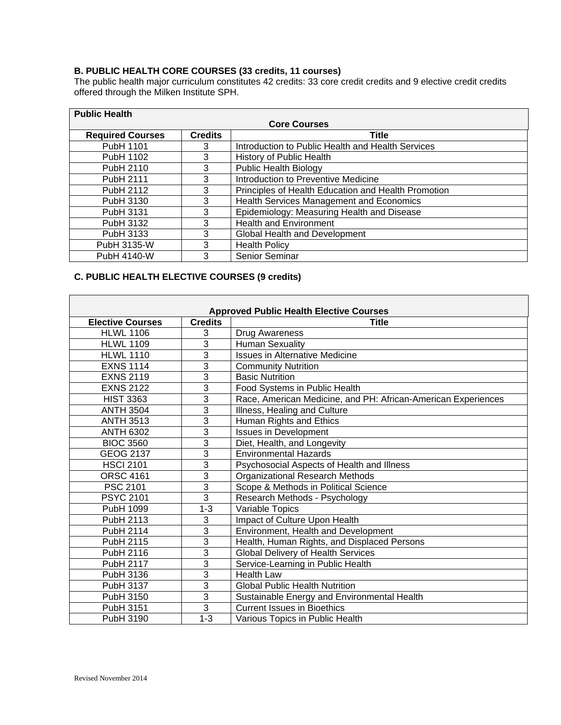# **B. PUBLIC HEALTH CORE COURSES (33 credits, 11 courses)**

The public health major curriculum constitutes 42 credits: 33 core credit credits and 9 elective credit credits offered through the Milken Institute SPH.

| <b>Public Health</b>    |                |                                                     |  |  |
|-------------------------|----------------|-----------------------------------------------------|--|--|
| <b>Core Courses</b>     |                |                                                     |  |  |
| <b>Required Courses</b> | <b>Credits</b> | <b>Title</b>                                        |  |  |
| PubH 1101               | 3              | Introduction to Public Health and Health Services   |  |  |
| PubH 1102               | 3              | History of Public Health                            |  |  |
| PubH 2110               | 3              | <b>Public Health Biology</b>                        |  |  |
| PubH 2111               | 3              | Introduction to Preventive Medicine                 |  |  |
| <b>PubH 2112</b>        | 3              | Principles of Health Education and Health Promotion |  |  |
| PubH 3130               | 3              | Health Services Management and Economics            |  |  |
| PubH 3131               | 3              | Epidemiology: Measuring Health and Disease          |  |  |
| PubH 3132               | 3              | <b>Health and Environment</b>                       |  |  |
| PubH 3133               | 3              | Global Health and Development                       |  |  |
| PubH 3135-W             | 3              | <b>Health Policy</b>                                |  |  |
| PubH 4140-W             | 3              | Senior Seminar                                      |  |  |

# **C. PUBLIC HEALTH ELECTIVE COURSES (9 credits)**

| <b>Approved Public Health Elective Courses</b> |                |                                                               |  |  |
|------------------------------------------------|----------------|---------------------------------------------------------------|--|--|
| <b>Elective Courses</b>                        | <b>Credits</b> | Title                                                         |  |  |
| <b>HLWL 1106</b>                               | 3              | Drug Awareness                                                |  |  |
| <b>HLWL 1109</b>                               | 3              | <b>Human Sexuality</b>                                        |  |  |
| <b>HLWL 1110</b>                               | $\overline{3}$ | <b>Issues in Alternative Medicine</b>                         |  |  |
| <b>EXNS 1114</b>                               | $\overline{3}$ | <b>Community Nutrition</b>                                    |  |  |
| <b>EXNS 2119</b>                               | 3              | <b>Basic Nutrition</b>                                        |  |  |
| <b>EXNS 2122</b>                               | 3              | Food Systems in Public Health                                 |  |  |
| <b>HIST 3363</b>                               | 3              | Race, American Medicine, and PH: African-American Experiences |  |  |
| <b>ANTH 3504</b>                               | $\overline{3}$ | Illness, Healing and Culture                                  |  |  |
| <b>ANTH 3513</b>                               | $\overline{3}$ | Human Rights and Ethics                                       |  |  |
| <b>ANTH 6302</b>                               | $\overline{3}$ | <b>Issues in Development</b>                                  |  |  |
| <b>BIOC 3560</b>                               | 3              | Diet, Health, and Longevity                                   |  |  |
| <b>GEOG 2137</b>                               | 3              | <b>Environmental Hazards</b>                                  |  |  |
| <b>HSCI 2101</b>                               | 3              | Psychosocial Aspects of Health and Illness                    |  |  |
| <b>ORSC 4161</b>                               | 3              | Organizational Research Methods                               |  |  |
| PSC 2101                                       | 3              | Scope & Methods in Political Science                          |  |  |
| <b>PSYC 2101</b>                               | 3              | Research Methods - Psychology                                 |  |  |
| PubH 1099                                      | $1 - 3$        | Variable Topics                                               |  |  |
| PubH 2113                                      | 3              | Impact of Culture Upon Health                                 |  |  |
| PubH 2114                                      | 3              | Environment, Health and Development                           |  |  |
| PubH 2115                                      | 3              | Health, Human Rights, and Displaced Persons                   |  |  |
| PubH 2116                                      | $\overline{3}$ | <b>Global Delivery of Health Services</b>                     |  |  |
| <b>PubH 2117</b>                               | 3              | Service-Learning in Public Health                             |  |  |
| PubH 3136                                      | 3              | <b>Health Law</b>                                             |  |  |
| PubH 3137                                      | 3              | <b>Global Public Health Nutrition</b>                         |  |  |
| PubH 3150                                      | 3              | Sustainable Energy and Environmental Health                   |  |  |
| PubH 3151                                      | 3              | <b>Current Issues in Bioethics</b>                            |  |  |
| PubH 3190                                      | $1 - 3$        | Various Topics in Public Health                               |  |  |

 $\overline{\phantom{0}}$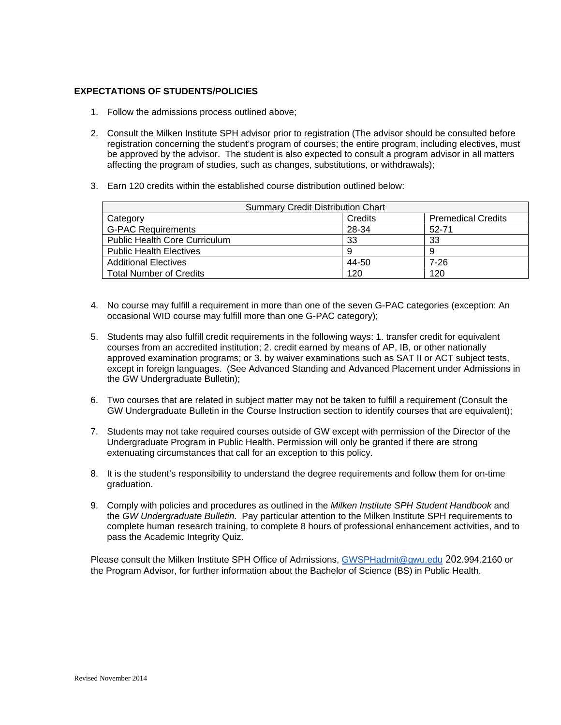# **EXPECTATIONS OF STUDENTS/POLICIES**

- 1. Follow the admissions process outlined above;
- 2. Consult the Milken Institute SPH advisor prior to registration (The advisor should be consulted before registration concerning the student's program of courses; the entire program, including electives, must be approved by the advisor. The student is also expected to consult a program advisor in all matters affecting the program of studies, such as changes, substitutions, or withdrawals);
- 3. Earn 120 credits within the established course distribution outlined below:

| <b>Summary Credit Distribution Chart</b> |         |                           |  |  |  |
|------------------------------------------|---------|---------------------------|--|--|--|
| Category                                 | Credits | <b>Premedical Credits</b> |  |  |  |
| <b>G-PAC Requirements</b>                | 28-34   | 52-71                     |  |  |  |
| <b>Public Health Core Curriculum</b>     | 33      | 33                        |  |  |  |
| <b>Public Health Electives</b>           | 9       |                           |  |  |  |
| <b>Additional Electives</b>              | 44-50   | 7-26                      |  |  |  |
| <b>Total Number of Credits</b>           | 120     | 120                       |  |  |  |

- 4. No course may fulfill a requirement in more than one of the seven G-PAC categories (exception: An occasional WID course may fulfill more than one G-PAC category);
- 5. Students may also fulfill credit requirements in the following ways: 1. transfer credit for equivalent courses from an accredited institution; 2. credit earned by means of AP, IB, or other nationally approved examination programs; or 3. by waiver examinations such as SAT II or ACT subject tests, except in foreign languages. (See Advanced Standing and Advanced Placement under Admissions in the GW Undergraduate Bulletin);
- 6. Two courses that are related in subject matter may not be taken to fulfill a requirement (Consult the GW Undergraduate Bulletin in the Course Instruction section to identify courses that are equivalent);
- 7. Students may not take required courses outside of GW except with permission of the Director of the Undergraduate Program in Public Health. Permission will only be granted if there are strong extenuating circumstances that call for an exception to this policy.
- 8. It is the student's responsibility to understand the degree requirements and follow them for on-time graduation.
- 9. Comply with policies and procedures as outlined in the *Milken Institute SPH Student Handbook* and the *GW Undergraduate Bulletin.* Pay particular attention to the Milken Institute SPH requirements to complete human research training, to complete 8 hours of professional enhancement activities, and to pass the Academic Integrity Quiz.

Please consult the Milken Institute SPH Office of Admissions, [GWSPHadmit@gwu.edu](mailto:GWSPHadmit@gwu.edu) 202.994.2160 or the Program Advisor, for further information about the Bachelor of Science (BS) in Public Health.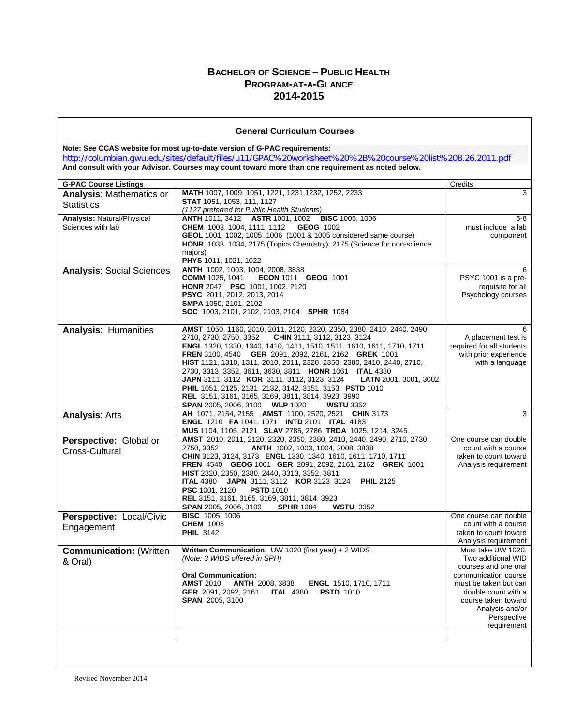# **BACHELOR OF SCIENCE – PUBLIC HEALTH PROGRAM-AT-A-GLANCE 2014-2015**

#### **General Curriculum Courses**

**Note: See CCAS website for most up-to-date version of G-PAC requirements:** <http://columbian.gwu.edu/sites/default/files/u11/GPAC%20worksheet%20%2B%20course%20list%208.26.2011.pdf> **And consult with your Advisor. Courses may count toward more than one requirement as noted below.**

| <b>G-PAC Course Listings</b>      |                                                                                                                  | Credits                   |
|-----------------------------------|------------------------------------------------------------------------------------------------------------------|---------------------------|
| <b>Analysis: Mathematics or</b>   | MATH 1007, 1009, 1051, 1221, 1231, 1232, 1252, 2233                                                              | 3                         |
| <b>Statistics</b>                 | <b>STAT</b> 1051, 1053, 111, 1127                                                                                |                           |
|                                   | (1127 preferred for Public Health Students)                                                                      |                           |
| <b>Analysis: Natural/Physical</b> | ANTH 1011, 3412 ASTR 1001, 1002 BISC 1005, 1006                                                                  | $6 - 8$                   |
| Sciences with lab                 | <b>CHEM</b> 1003, 1004, 1111, 1112<br><b>GEOG 1002</b>                                                           | must include a lab        |
|                                   | GEOL 1001, 1002, 1005, 1006 (1001 & 1005 considered same course)                                                 | component                 |
|                                   | HONR 1033, 1034, 2175 (Topics Chemistry), 2175 (Science for non-science<br>majors)                               |                           |
|                                   | PHYS 1011, 1021, 1022                                                                                            |                           |
| <b>Analysis: Social Sciences</b>  | ANTH 1002, 1003, 1004, 2008, 3838                                                                                | 6                         |
|                                   | <b>COMM</b> 1025, 1041<br><b>ECON 1011 GEOG 1001</b>                                                             | PSYC 1001 is a pre-       |
|                                   | <b>HONR 2047 PSC 1001, 1002, 2120</b>                                                                            | requisite for all         |
|                                   | PSYC 2011, 2012, 2013, 2014                                                                                      | Psychology courses        |
|                                   | SMPA 1050, 2101, 2102                                                                                            |                           |
|                                   | <b>SOC</b> 1003, 2101, 2102, 2103, 2104 <b>SPHR</b> 1084                                                         |                           |
|                                   | AMST 1050, 1160, 2010, 2011, 2120, 2320, 2350, 2380, 2410, 2440. 2490,                                           | 6                         |
| <b>Analysis: Humanities</b>       | 2710, 2730, 2750, 3352<br>CHIN 3111, 3112, 3123, 3124                                                            | A placement test is       |
|                                   | ENGL 1320, 1330, 1340, 1410, 1411, 1510, 1511, 1610, 1611, 1710, 1711                                            | required for all students |
|                                   | FREN 3100, 4540 GER 2091, 2092, 2161, 2162 GREK 1001                                                             | with prior experience     |
|                                   | HIST 1121, 1310, 1311, 2010, 2011, 2320, 2350, 2380, 2410, 2440, 2710,                                           | with a language           |
|                                   | 2730, 3313, 3352, 3611, 3630, 3811 HONR 1061 ITAL 4380                                                           |                           |
|                                   | JAPN 3111, 3112 KOR 3111, 3112, 3123, 3124<br><b>LATN</b> 2001, 3001, 3002                                       |                           |
|                                   | PHIL 1051, 2125, 2131, 2132, 3142, 3151, 3153 PSTD 1010                                                          |                           |
|                                   | REL 3151, 3161, 3165, 3169, 3811, 3814, 3923, 3990                                                               |                           |
|                                   | <b>SPAN</b> 2005, 2006, 3100 <b>WLP</b> 1020<br><b>WSTU 3352</b>                                                 |                           |
| <b>Analysis: Arts</b>             | AH 1071, 2154, 2155 AMST 1100, 2520, 2521 CHIN 3173                                                              | 3                         |
|                                   | <b>ENGL 1210 FA 1041, 1071 INTD 2101 ITAL 4183</b><br>MUS 1104, 1105, 2121 SLAV 2785, 2786 TRDA 1025, 1214, 3245 |                           |
| Perspective: Global or            | AMST 2010, 2011, 2120, 2320, 2350, 2380, 2410, 2440. 2490, 2710, 2730,                                           | One course can double     |
|                                   | 2750, 3352<br>ANTH 1002, 1003, 1004, 2008, 3838                                                                  | count with a course       |
| Cross-Cultural                    | CHIN 3123, 3124, 3173 ENGL 1330, 1340, 1610, 1611, 1710, 1711                                                    | taken to count toward     |
|                                   | FREN 4540 GEOG 1001 GER 2091, 2092, 2161, 2162 GREK 1001                                                         | Analysis requirement      |
|                                   | HIST 2320, 2350, 2380, 2440, 3313, 3352, 3811                                                                    |                           |
|                                   | JAPN 3111, 3112 KOR 3123, 3124<br><b>ITAL 4380</b><br><b>PHIL 2125</b>                                           |                           |
|                                   | PSC 1001, 2120<br><b>PSTD 1010</b>                                                                               |                           |
|                                   | REL 3151, 3161, 3165, 3169, 3811, 3814, 3923                                                                     |                           |
|                                   | SPAN 2005, 2006, 3100<br><b>SPHR 1084</b><br><b>WSTU 3352</b><br><b>BISC 1005, 1006</b>                          | One course can double     |
| Perspective: Local/Civic          | <b>CHEM 1003</b>                                                                                                 | count with a course       |
| Engagement                        | <b>PHIL 3142</b>                                                                                                 | taken to count toward     |
|                                   |                                                                                                                  | Analysis requirement      |
| <b>Communication: (Written</b>    | Written Communication: UW 1020 (first year) + 2 WIDS                                                             | Must take UW 1020.        |
| & Oral)                           | (Note: 3 WIDS offered in SPH)                                                                                    | Two additional WID        |
|                                   |                                                                                                                  | courses and one oral      |
|                                   | <b>Oral Communication:</b>                                                                                       | communication course      |
|                                   | <b>AMST 2010</b><br><b>ANTH 2008, 3838</b><br><b>ENGL</b> 1510, 1710, 1711                                       | must be taken but can     |
|                                   | GER 2091, 2092, 2161<br><b>ITAL 4380 PSTD 1010</b>                                                               | double count with a       |
|                                   | <b>SPAN 2005, 3100</b>                                                                                           | course taken toward       |
|                                   |                                                                                                                  | Analysis and/or           |
|                                   |                                                                                                                  | Perspective               |
|                                   |                                                                                                                  | requirement               |
|                                   |                                                                                                                  |                           |
|                                   |                                                                                                                  |                           |